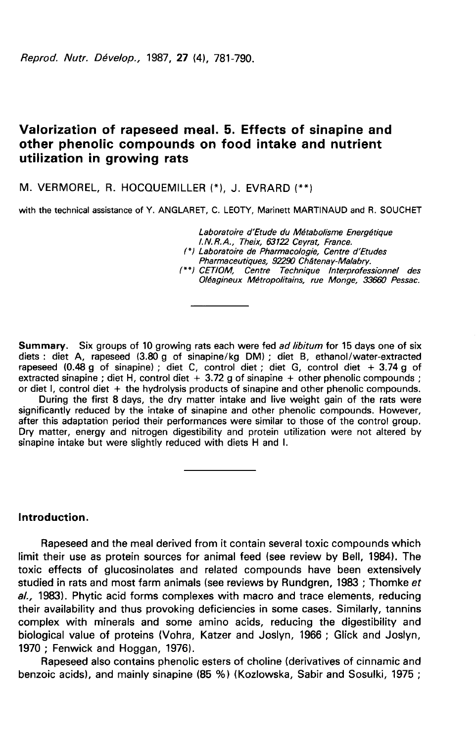Reprod. Nutr. Dévelop., 1987, 27 (4), 781-790.

# Valorization of rapeseed meal. 5. Effects of sinapine and other phenolic compounds on food intake and nutrient utilization in growing rats

M. VERMOREL, R. HOCQUEMILLER (\*), J. EVRARD (\*\*)

with the technical assistance of Y. ANGLARET, C. LEOTY, Marinett MARTINAUD and R. SOUCHET

Laboratoire d'Etude du Métabolisme Energétique I.N.R.A., Theix, 63122 Ceyrat, France. I \*lLaboratoire de Pharmacologie, Centre d'Etudes Pharmaceutiques, 92290 Châtenay-Malabry. (\*\*) CETIOM, Centre Technique Interprofessionnel des Oléagineux Métropolitains, rue Monge, 33660 Pessac.

Summary. Six groups of 10 growing rats each were fed ad libitum for 15 days one of six diets : diet A, rapeseed (3.80 g of sinapine/kg DM) ; diet B, ethanol/water-extracted rapeseed  $(0.48 \text{ g of sinapine})$ ; diet C, control diet; diet G, control diet + 3.74 g of extracted sinapine; diet H, control diet + 3.72 g of sinapine + other phenolic compounds; or diet I, control diet  $+$  the hydrolysis products of sinapine and other phenolic compounds.

During the first 8 days, the dry matter intake and live weight gain of the rats were significantly reduced by the intake of sinapine and other phenolic compounds. However, after this adaptation period their performances were similar to those of the control group. Dry matter, energy and nitrogen digestibility and protein utilization were not altered by sinapine intake but were slightly reduced with diets H and I.

Introduction.

Rapeseed and the meal derived from it contain several toxic compounds which limit their use as protein sources for animal feed (see review by Bell, 1984). The toxic effects of glucosinolates and related compounds have been extensively studied in rats and most farm animals (see reviews by Rundgren, 1983; Thomke et al., 1983). Phytic acid forms complexes with macro and trace elements, reducing their availability and thus provoking deficiencies in some cases. Similarly, tannins complex with minerals and some amino acids, reducing the digestibility and biological value of proteins (Vohra, Katzer and Joslyn, 1966 ; Glick and Joslyn, 1970 ; Fenwick and Hoggan, 1976).

Rapeseed also contains phenolic esters of choline (derivatives of cinnamic and benzoic acids), and mainly sinapine (85 %) (Kozlowska, Sabir and Sosulki, 1975 ;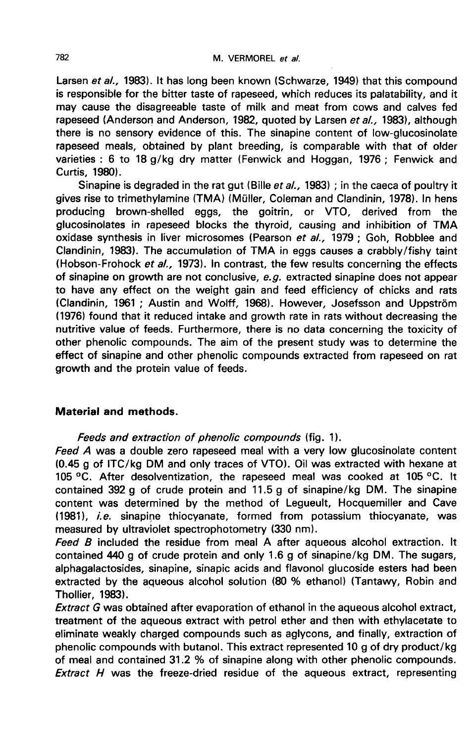Larsen et al., 1983). It has long been known (Schwarze, 1949) that this compound is responsible for the bitter taste of rapeseed, which reduces its palatability, and it may cause the disagreeable taste of milk and meat from cows and calves fed rapeseed (Anderson and Anderson, 1982, quoted by Larsen et al., 1983), although there is no sensory evidence of this. The sinapine content of low-glucosinolate rapeseed meals, obtained by plant breeding, is comparable with that of older varieties : 6 to 18 g/kg dry matter (Fenwick and Hoggan, 1976 ; Fenwick and Curtis, 1980).

Sinapine is degraded in the rat gut (Bille et  $al.$ , 1983) ; in the caeca of poultry it gives rise to trimethylamine (TMA) (Müller, Coleman and Clandinin, 1978). In hens producing brown-shelled eggs, the goitrin, or VTO, derived from the glucosinolates in rapeseed blocks the thyroid, causing and inhibition of TMA oxidase synthesis in liver microsomes (Pearson et al., 1979 ; Goh, Robblee and Clandinin, 1983). The accumulation of TMA in eggs causes a crabbly/fishy taint (Hobson-Frohock et al., 1973). In contrast, the few results concerning the effects of sinapine on growth are not conclusive, e.g. extracted sinapine does not appear to have any effect on the weight gain and feed efficiency of chicks and rats (Clandinin, 1961 ; Austin and Wolff, 1968). However, Josefsson and Uppstr6m (1976) found that it reduced intake and growth rate in rats without decreasing the nutritive value of feeds. Furthermore, there is no data concerning the toxicity of other phenolic compounds. The aim of the present study was to determine the effect of sinapine and other phenolic compounds extracted from rapeseed on rat growth and the protein value of feeds.

# Material and methods.

Feeds and extraction of phenolic compounds (fig. 1).

Feed A was a double zero rapeseed meal with a very low glucosinolate content (0.45 g of ITC/kg DM and only traces of VTO). Oil was extracted with hexane at 105 °C. After desolventization, the rapeseed meal was cooked at 105 °C. It contained 392 g of crude protein and 11.5 g of sinapine/kg DM. The sinapine content was determined by the method of Legueult, Hocquemiller and Cave (1981), i.e. sinapine thiocyanate, formed from potassium thiocyanate, was measured by ultraviolet spectrophotometry (330 nm).

Feed B included the residue from meal A after aqueous alcohol extraction. It contained 440 g of crude protein and only 1.6 g of sinapine/kg DM. The sugars, alphagalactosides, sinapine, sinapic acids and flavonol glucoside esters had been extracted by the aqueous alcohol solution (80 % ethanol) (Tantawy, Robin and Thollier, 1983).

**Extract G was obtained after evaporation of ethanol in the aqueous alcohol extract,** treatment of the aqueous extract with petrol ether and then with ethylacetate to eliminate weakly charged compounds such as aglycons, and finally, extraction of phenolic compounds with butanol. This extract represented 10 g of dry product/kg of meal and contained 31.2 % of sinapine along with other phenolic compounds. Extract  $H$  was the freeze-dried residue of the aqueous extract, representing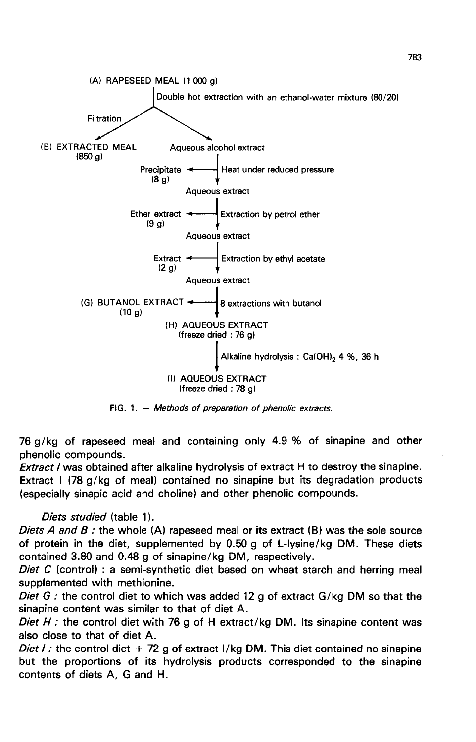

FIG. 1. - Methods of preparation of phenolic extracts.

76 g/kg of rapeseed meal and containing only 4.9 % of sinapine and other phenolic compounds.

**Extract / was obtained after alkaline hydrolysis of extract H to destroy the sinapine.** Extract I (78 g/kg of meal) contained no sinapine but its degradation products (especially sinapic acid and choline) and other phenolic compounds.

### Diets studied (table 1).

Diets A and B : the whole (A) rapeseed meal or its extract (B) was the sole source of protein in the diet, supplemented by 0.50 g of L-lysine/kg DM. These diets contained 3.80 and 0.48 g of sinapine/kg DM, respectively.

Diet C (control) : a semi-synthetic diet based on wheat starch and herring meal supplemented with methionine.

Diet G: the control diet to which was added 12 g of extract  $G/kg$  DM so that the sinapine content was similar to that of diet A.

Diet  $H$ : the control diet with 76 g of H extract/kg DM. Its sinapine content was also close to that of diet A.

Diet I: the control diet  $+72$  g of extract I/kg DM. This diet contained no sinapine but the proportions of its hydrolysis products corresponded to the sinapine contents of diets A, G and H.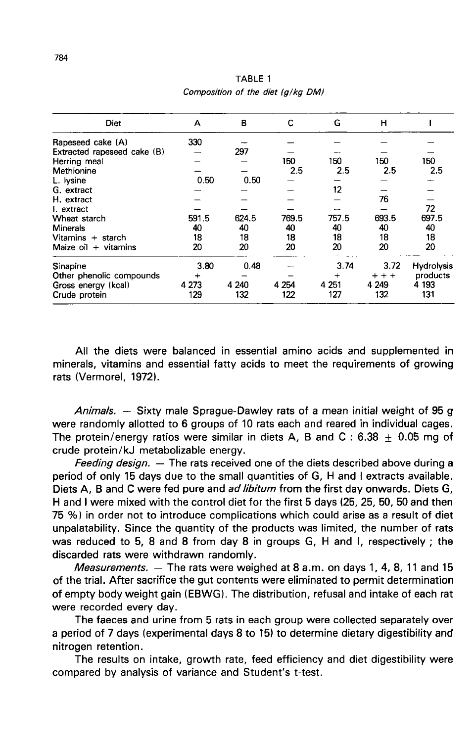| Diet                        | А       | в     | с       | G       | н       |                   |
|-----------------------------|---------|-------|---------|---------|---------|-------------------|
| Rapeseed cake (A)           | 330     |       |         |         |         |                   |
| Extracted rapeseed cake (B) |         | 297   |         |         |         |                   |
| Herring meal                |         |       | 150     | 150     | 150     | 150               |
| Methionine                  |         |       | 2.5     | 2.5     | 2.5     | 2.5               |
| L. lysine                   | 0.50    | 0.50  |         |         |         |                   |
| G. extract                  |         |       |         | 12      |         |                   |
| H. extract                  |         |       |         |         | 76      |                   |
| I. extract                  |         |       |         |         |         | 72                |
| Wheat starch                | 591.5   | 624.5 | 769.5   | 757.5   | 693.5   | 697.5             |
| <b>Minerals</b>             | 40      | 40    | 40      | 40      | 40      | 40                |
| Vitamins + starch           | 18      | 18    | 18      | 18      | 18      | 18                |
| Maize $oil + vitamins$      | 20      | 20    | 20      | 20      | 20      | 20                |
| Sinapine                    | 3.80    | 0.48  |         | 3.74    | 3.72    | <b>Hydrolysis</b> |
| Other phenolic compounds    |         |       |         | $\div$  | $+ + +$ | products          |
| Gross energy (kcal)         | 4 2 7 3 | 4 240 | 4 2 5 4 | 4 2 5 1 | 4 2 4 9 | 4 193             |
| Crude protein               | 129     | 132   | 122     | 127     | 132     | 131               |

TABLE 1 Composition of the diet (a/ka DM)

All the diets were balanced in essential amino acids and supplemented in minerals, vitamins and essential fatty acids to meet the requirements of growing rats (Vermorel, 1972).

Animals. – Sixty male Sprague-Dawley rats of a mean initial weight of 95 g were randomly allotted to 6 groups of 10 rats each and reared in individual cages. The protein/energy ratios were similar in diets A, B and C : 6.38  $\pm$  0.05 mg of crude protein/kJ metabolizable energy.

Feeding design.  $-$  The rats received one of the diets described above during a period of only 15 days due to the small quantities of G, H and I extracts available. Diets A, B and C were fed pure and ad libitum from the first day onwards. Diets G, H and I were mixed with the control diet for the first 5 days (25, 25, 50, 50 and then 75 %) in order not to introduce complications which could arise as a result of diet unpalatability. Since the quantity of the products was limited, the number of rats was reduced to 5, 8 and 8 from day 8 in groups G, H and I, respectively ; the discarded rats were withdrawn randomly.

*Measurements.*  $-$  The rats were weighed at 8 a.m. on days 1, 4, 8, 11 and 15 of the trial. After sacrifice the gut contents were eliminated to permit determination of empty body weight gain (EBWG1. The distribution, refusal and intake of each rat were recorded every day.

The faeces and urine from 5 rats in each group were collected separately over a period of 7 days (experimental days 8 to 15) to determine dietary digestibility and nitrogen retention.

The results on intake, growth rate, feed efficiency and diet digestibility were compared by analysis of variance and Student's t-test.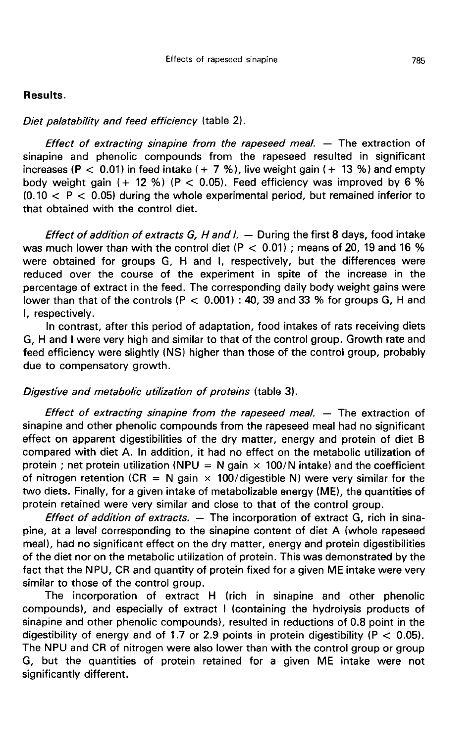### Results.

#### Diet palatability and feed efficiency (table 2).

Effect of extracting sinapine from the rapeseed meal.  $-$  The extraction of sinapine and phenolic compounds from the rapeseed resulted in significant increases (P  $<$  0.01) in feed intake (+ 7 %), live weight gain (+ 13 %) and empty body weight gain  $(+ 12\%)$  (P < 0.05). Feed efficiency was improved by 6 %  $(0.10 < P < 0.05)$  during the whole experimental period, but remained inferior to that obtained with the control diet.

Effect of addition of extracts G, H and  $l. -$  During the first 8 days, food intake was much lower than with the control diet (P  $<$  0.01) ; means of 20, 19 and 16 % were obtained for groups G, H and I, respectively, but the differences were reduced over the course of the experiment in spite of the increase in the percentage of extract in the feed. The corresponding daily body weight gains were lower than that of the controls (P  $<$  0.001) : 40, 39 and 33 % for groups G, H and I, respectively.

In contrast, after this period of adaptation, food intakes of rats receiving diets G, H and I were very high and similar to that of the control group. Growth rate and feed efficiency were slightly (NS) higher than those of the control group, probably due to compensatory growth.

### Digestive and metabolic utilization of proteins (table 3).

*Effect of extracting sinapine from the rapeseed meal.*  $-$  The extraction of sinapine and other phenolic compounds from the rapeseed meal had no significant effect on apparent digestibilities of the dry matter, energy and protein of diet B compared with diet A. In addition, it had no effect on the metabolic utilization of protein ; net protein utilization (NPU = N gain  $\times$  100/N intake) and the coefficient of nitrogen retention (CR = N gain  $\times$  100/digestible N) were very similar for the two diets. Finally, for a given intake of metabolizable energy (ME), the quantities of protein retained were very similar and close to that of the control group.

Effect of addition of extracts.  $-$  The incorporation of extract G, rich in sinapine, at a level corresponding to the sinapine content of diet A (whole rapeseed meal), had no significant effect on the dry matter, energy and protein digestibilities of the diet nor on the metabolic utilization of protein. This was demonstrated by the fact that the NPU, CR and quantity of protein fixed for a given ME intake were very similar to those of the control group.

The incorporation of extract H (rich in sinapine and other phenolic compounds), and especially of extract I (containing the hydrolysis products of sinapine and other phenolic compounds), resulted in reductions of 0.8 point in the digestibility of energy and of 1.7 or 2.9 points in protein digestibility ( $P < 0.05$ ). The NPU and CR of nitrogen were also lower than with the control group or group G, but the quantities of protein retained for a given ME intake were not significantly different.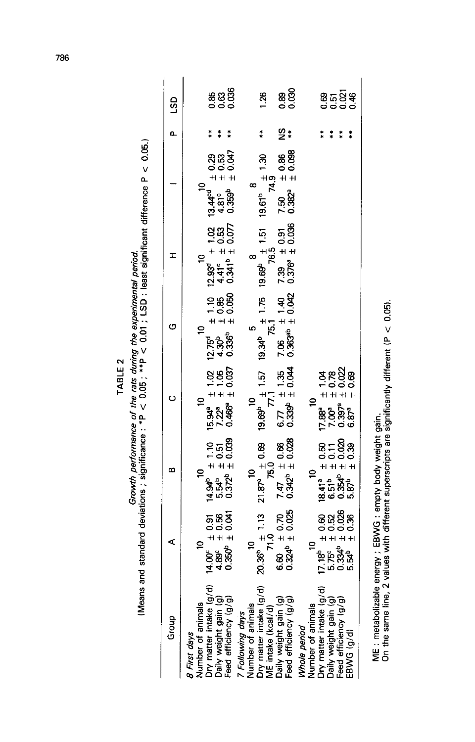| Group                                                                                                                                           | ⋖                                                                                                                    | ∞                                                                                                                                                               | ပ                                                                                       | ပ                                                                        | ェ                                                                                                 |                                                                                                                                   | Δ.          | ဌ                   |
|-------------------------------------------------------------------------------------------------------------------------------------------------|----------------------------------------------------------------------------------------------------------------------|-----------------------------------------------------------------------------------------------------------------------------------------------------------------|-----------------------------------------------------------------------------------------|--------------------------------------------------------------------------|---------------------------------------------------------------------------------------------------|-----------------------------------------------------------------------------------------------------------------------------------|-------------|---------------------|
| Number of animals<br>Dry matter intake (g/d)<br>Daily weight gain (g)<br>Feed efficiency (g/g)<br>8 First days                                  |                                                                                                                      | មិន្ទុង<br>មិន្ទុង<br>កំពូង                                                                                                                                     | $\tilde{a}$                                                                             |                                                                          | $\mathbf{S}$                                                                                      | $\begin{array}{ll} & 10 & 10 \\ 13.44^{\text{cd}} & \pm 0.29 \\ 4.81^{\circ} & \pm 0.53 \\ 0.359^{\circ} & \pm 0.047 \end{array}$ |             |                     |
|                                                                                                                                                 | $\begin{array}{rcl} 14.00^{\circ} & \pm& 0.91 \\ 4.89^{\circ} & \pm& 0.56 \\ 0.350^{\circ} & \pm& 0.041 \end{array}$ | $+1.10$<br>$+ 1.51$<br>$+ 1.039$<br>$+ 1.039$                                                                                                                   | $\begin{array}{r} 15.94^a \pm 1.02 \\ 7.22^a \pm 1.05 \\ 0.466^a \pm 0.037 \end{array}$ | $1.0800$<br>$1.0800$<br>$1.0800$<br>្គ<br>ស្គូ<br>ក្នុង មិន<br>ក្នុង មិន | $\begin{array}{rl} 12.93^d & \pm& 1.02 \\ 4.41^c & \pm& 0.53 \\ 0.341^b & \pm& 0.077 \end{array}$ |                                                                                                                                   |             | ន្ល<br>នូ ខ្លួ ខ្លួ |
| 7 <i>Following days</i><br>Number of animals<br>Dry matter intake (g/d)<br>ME intake (kcal/d)<br>Daily weight gain (g)<br>Feed efficiency (g/g) |                                                                                                                      |                                                                                                                                                                 |                                                                                         |                                                                          |                                                                                                   |                                                                                                                                   |             |                     |
|                                                                                                                                                 |                                                                                                                      | $\frac{10}{75.0}$ 19<br>75.0<br>75.0                                                                                                                            | 19.69 $^{10}_{71,1}$<br>77.1                                                            | $-19.34^b$ $\frac{5}{75.1}$ 1.75 19                                      |                                                                                                   | 19.69 <sup>b</sup> $\frac{8}{1.51}$ 19.61 <sup>b</sup> $\frac{1}{2}$ 1.30<br>76.5 $\cdots$ 7 = 74.9<br>74.9                       | $\ast$      | 1.26                |
|                                                                                                                                                 | 20.36 <sup>b</sup> $\pm$ 1.13<br>$71.0$<br>6.60 $\pm$ 0.70<br>6.60 $\pm$ 0.025                                       | $7.47 \pm 0.66$<br>0.342 <sup>b</sup> $\pm$ 0.028                                                                                                               | $6.77 \pm 1.35$<br>0.339 <sup>b</sup> $\pm$ 0.044                                       | $44.40$<br>$+ 1.40$<br>$7.06$<br>$0.363^{ab}$                            | $7.39 \pm 0.91$<br>0.376° $\pm$ 0.036                                                             | $10.86$<br>$1 + 0.88$<br>7.50<br>0.382ª                                                                                           | <u>ဗ</u> ူး | 88<br>0.89          |
| Whole period                                                                                                                                    |                                                                                                                      | 5                                                                                                                                                               | ₽                                                                                       |                                                                          |                                                                                                   |                                                                                                                                   |             |                     |
| Number of animals<br>Dry matter intake (g/d)<br>Daily weight gain (g)<br>Feed efficiency (g/g)                                                  | $17.18b \pm 0.60$<br>$5.75c \pm 0.52$<br>$0.334b \pm 0.026$<br>$5.54b \pm 0.336$                                     | $\begin{array}{rcl} & 18.41^a & \pm & 0.50 \\ & 6.51^b & \pm & 0.11 \\ & 0.354^b & \pm & 0.020 \\ & 0.354^b & \pm & 0.020 \\ & 5.87^b & \pm & 0.39 \end{array}$ | _<br>೧೮೯                                                                                |                                                                          |                                                                                                   |                                                                                                                                   |             |                     |
|                                                                                                                                                 |                                                                                                                      |                                                                                                                                                                 | 3888<br>-000<br>-000<br>++++                                                            |                                                                          |                                                                                                   |                                                                                                                                   |             | ខិត្តន៍¥<br>ទី១១១   |
| EBWG (g/d)                                                                                                                                      |                                                                                                                      |                                                                                                                                                                 | $0.397^a$                                                                               |                                                                          |                                                                                                   |                                                                                                                                   |             |                     |

Growth performance of the rats during the experimental period.<br>
(Means and standard deviations ; significance : \*P < 0.05 ; \*\*P < 0.01 ; LSD : least significant difference P < 0.05.) TABLE<sub>2</sub>

ME : metabolizable energy ; EBWG : empty body weight gain.<br>On the same line, 2 values with different superscripts are significantly different (P < 0.05).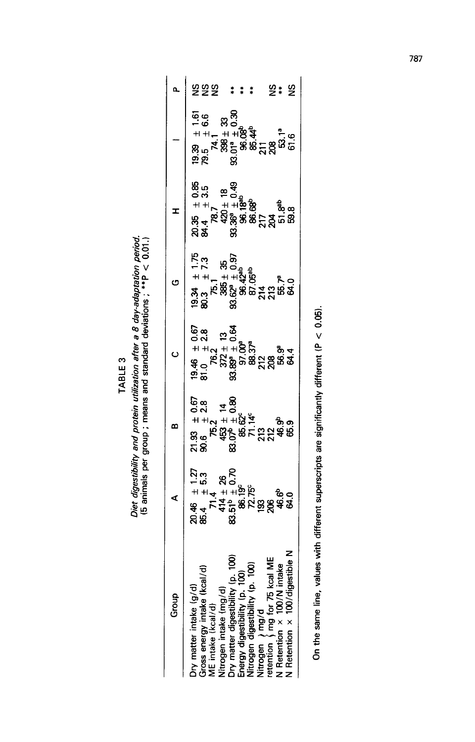TABLE 3

Diet digestibility and protein utilization after a 8 day-adaptation period.<br>(5 animals per group ; means and standard deviations ; \*\*P < 0.01.)

| Group                                                                                                                                                         | ⋖                    | ∞                                                                                                                                                                                                                                      | Ō                                                                                                                                                                                                                                                        | G                                                         | I                                                                                                                                |                                       | ۵       |
|---------------------------------------------------------------------------------------------------------------------------------------------------------------|----------------------|----------------------------------------------------------------------------------------------------------------------------------------------------------------------------------------------------------------------------------------|----------------------------------------------------------------------------------------------------------------------------------------------------------------------------------------------------------------------------------------------------------|-----------------------------------------------------------|----------------------------------------------------------------------------------------------------------------------------------|---------------------------------------|---------|
|                                                                                                                                                               |                      |                                                                                                                                                                                                                                        |                                                                                                                                                                                                                                                          |                                                           |                                                                                                                                  |                                       |         |
| ਚ<br>Dry matter intake (g/d)<br>Gross energy intake (kcal/d<br>ME intake (kcal/d)<br>Nitrogen intake (mg/d)                                                   | ຕັນ<br>ປະຊິຍ<br>ປະຊິ | 4 + + a + + a st<br>0 st<br>0 st = 8<br>0 st = 9 st = 9 st = 9 st = 9 st = 9 st = 9 st = 9 st = 9 st = 9 st = 9 st = 9 st = 9 st = 9 st = 9 st = 9 st = 9 st = 9 st = 9 st = 9 st = 9 st = 9 st = 9 st = 9 st = 9 st = 9 st = 9 st = 9 | <b>&amp;</b> 0.8<br>+ 0.8 = 0.8<br>+ 0.2 + 0.8 = 0.8<br>= 0.8 = 0.8 = 0.8 = 0.8<br>= 0.8 = 0.8 = 0.8 = 0.8 = 0.8<br>= 0.8 = 0.8 = 0.8 = 0.8 = 0.8 = 0.8 = 0.8 = 0.8 = 0.8 = 0.8 = 0.8 = 0.9 = 0.9 = 0.9 = 0.9 = 0.9 = 0.9 = 0.9 = 0<br>= 0.8 = 0.8 = 0.9 | ១ខ<br>ទី ២នុទ្ធនិន្ទ្ធ មី ដូច<br>មិន្ទ្រី មិន ទី ខ្ញុំ ទី | යය සලා<br>පසු පි<br>អ ។ ឆ្នាំ<br>ឆ្លូ <sub>។</sub> ខ្លួន ខ្លួន ខ្លួ <sub>ន</sub><br>ន្លូ <sub>។</sub> ខ្លួន ខ្លួន ខ្លួន<br>ដូង ន | −<br>66 89<br>66 89<br>್ರ<br>೧೩<br>೧೩ | 222 *** |
|                                                                                                                                                               |                      |                                                                                                                                                                                                                                        |                                                                                                                                                                                                                                                          |                                                           |                                                                                                                                  |                                       |         |
|                                                                                                                                                               |                      |                                                                                                                                                                                                                                        |                                                                                                                                                                                                                                                          |                                                           |                                                                                                                                  |                                       |         |
| Dry matter digestibility (p. 100)<br>Energy digestibility (p. 100)<br>Nitrogen digestibility (p. 100)<br>Nitrogen   ) mg/d<br>retention   ) mg for 75 kcal ME |                      |                                                                                                                                                                                                                                        |                                                                                                                                                                                                                                                          |                                                           |                                                                                                                                  |                                       |         |
|                                                                                                                                                               |                      |                                                                                                                                                                                                                                        |                                                                                                                                                                                                                                                          |                                                           |                                                                                                                                  |                                       |         |
|                                                                                                                                                               |                      |                                                                                                                                                                                                                                        |                                                                                                                                                                                                                                                          |                                                           |                                                                                                                                  |                                       |         |
|                                                                                                                                                               |                      |                                                                                                                                                                                                                                        |                                                                                                                                                                                                                                                          |                                                           |                                                                                                                                  |                                       |         |
| ⊻<br>≅¥∯                                                                                                                                                      |                      |                                                                                                                                                                                                                                        |                                                                                                                                                                                                                                                          |                                                           |                                                                                                                                  |                                       |         |
| N Retention $\times$ 100/N inte                                                                                                                               |                      |                                                                                                                                                                                                                                        |                                                                                                                                                                                                                                                          |                                                           |                                                                                                                                  |                                       |         |
| N Retention x 100/digest                                                                                                                                      |                      |                                                                                                                                                                                                                                        |                                                                                                                                                                                                                                                          |                                                           |                                                                                                                                  |                                       | 2 * 2   |
|                                                                                                                                                               |                      |                                                                                                                                                                                                                                        |                                                                                                                                                                                                                                                          |                                                           |                                                                                                                                  |                                       |         |

On the same line, values with different superscripts are significantly different (P  $<$  0.05).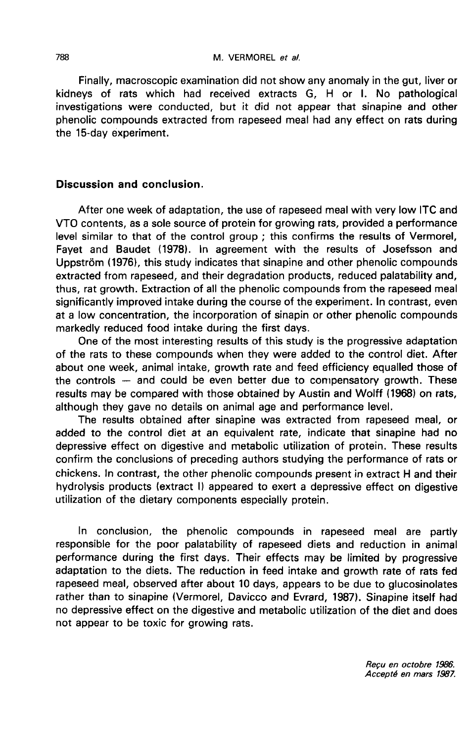Finally, macroscopic examination did not show any anomaly in the gut, liver or kidneys of rats which had received extracts G, H or I. No pathological investigations were conducted, but it did not appear that sinapine and other phenolic compounds extracted from rapeseed meal had any effect on rats during the 15-day experiment.

# Discussion and conclusion.

After one week of adaptation, the use of rapeseed meal with very low ITC and VTO contents, as a sole source of protein for growing rats, provided a performance level similar to that of the control group ; this confirms the results of Vermorel, Fayet and Baudet (1978). In agreement with the results of Josefsson and Uppström (1976), this study indicates that sinapine and other phenolic compounds extracted from rapeseed, and their degradation products, reduced palatability and, thus, rat growth. Extraction of all the phenolic compounds from the rapeseed meal significantly improved intake during the course of the experiment. In contrast, even at a low concentration, the incorporation of sinapin or other phenolic compounds markedly reduced food intake during the first days.

One of the most interesting results of this study is the progressive adaptation of the rats to these compounds when they were added to the control diet. After about one week, animal intake, growth rate and feed efficiency equalled those of the controls ― and could be even better due to compensatory growth. These results may be compared with those obtained by Austin and Wolff (1968) on rats, although they gave no details on animal age and performance level.

The results obtained after sinapine was extracted from rapeseed meal, or added to the control diet at an equivalent rate, indicate that sinapine had no depressive effect on digestive and metabolic utilization of protein. These results confirm the conclusions of preceding authors studying the performance of rats or chickens. In contrast, the other phenolic compounds present in extract H and their hydrolysis products (extract I) appeared to exert a depressive effect on digestive utilization of the dietary components especially protein.

In conclusion, the phenolic compounds in rapeseed meal are partly responsible for the poor palatability of rapeseed diets and reduction in animal performance during the first days. Their effects may be limited by progressive adaptation to the diets. The reduction in feed intake and growth rate of rats fed rapeseed meal, observed after about 10 days, appears to be due to glucosinolates rather than to sinapine (Vermorel, Davicco and Evrard, 1987). Sinapine itself had no depressive effect on the digestive and metabolic utilization of the diet and does not appear to be toxic for growing rats.

Reçu en octobre 1986. Accepté en mars 1987.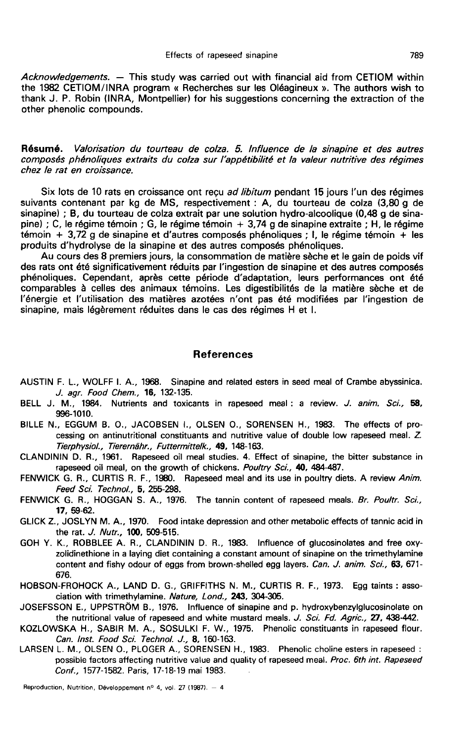Acknowledgements. — This study was carried out with financial aid from CETIOM within the 1982 CETIOM/INRA program « Recherches sur les Oléagineux ». The authors wish to thank J. P. Robin (INRA, Montpellier) for his suggestions concerning the extraction of the other phenolic compounds.

Résumé. Valorisation du tourteau de colza. 5. lnfluence de la sinapine et des autres composés phénoliques extraits du colza sur l'appétibilité et la valeur nutritive des régimes chez le rat en croissance.

Six lots de 10 rats en croissance ont reçu ad libitum pendant 15 jours l'un des régimes suivants contenant par kg de MS, respectivement : A, du tourteau de colza (3,80 g de sinapine) ; B, du tourteau de colza extrait par une solution hydro-alcoolique (0,48 g de sina-<br>pine) ; C, le régime témoin ; G, le régime témoin + 3,74 g de sinapine extraite ; H, le régime  $t$ émoin + 3,72 g de sinapine et d'autres composés phénoliques ; l, le régime témoin + les produits d'hydrolyse de la sinapine et des autres composés phénoliques.

Au cours des 8 premiers jours, la consommation de matière sèche et le gain de poids vif des rats ont été significativement réduits par l'ingestion de sinapine et des autres composés phénoliques. Cependant, après cette période d'adaptation, leurs performances ont été comparables à celles des animaux témoins. Les digestibilités de la matière sèche et de l'énergie et l'utilisation des matières azotées n'ont pas été modifiées par l'ingestion de sinapine, mais légèrement réduites dans le cas des régimes H et 1.

#### References

- AUSTIN F. L., WOLFF I. A., 1968. Sinapine and related esters in seed meal of Crambe abyssinica. J. agr. Food Chem., 16, 132-135.
- BELL J. M., 1984. Nutrients and toxicants in rapeseed meal : a review. J. anim. Sci., 58, 996-1010.
- BILLE N., EGGUM B. 0., JACOBSEN L, OLSEN 0., SORENSEN H., 1983. The effects of processing on antinutritional constituants and nutritive value of double low rapeseed meal. Z. Tierphysiol., Tierernähr., Futtermittelk., 49, 148-163.
- CLANDININ D. R., 1961. Rapeseed oil meal studies. 4. Effect of sinapine, the bitter substance in rapeseed oil meal, on the growth of chickens. Poultry Sci., 40, 484-487.
- FENWICK G. R., CURTIS R. F., 1980. Rapeseed meal and its use in poultry diets. A review Anim. Feed Sci. Technol, 5, 255-298.
- FENWICK G. R., HOGGAN S. A., 1976. The tannin content of rapeseed meals. Br. Poultr. Sci., 17, 59-62.
- GLICK Z., JOSLYN M. A., 1970. Food intake depression and other metabolic effects of tannic acid in the rat. J. Nutr., 100, 509-515.
- GOH Y. K., ROBBLEE A. R., CLANDININ D. R., 1983. Influence of glucosinolates and free oxyzolidinethione in a laying diet containing a constant amount of sinapine on the trimethylamine content and fishy odour of eggs from brown-shelled egg layers. Can. J. anim. Sci., 63, 671-676.
- HOBSON-FROHOCK A., LAND D. G., GRIFFITHS N. M., CURTIS R. F., 1973. Egg taints : association with trimethylamine. Nature, Lond., 243, 304-305.
- JOSEFSSON E., UPPSTRÖM B., 1976. Influence of sinapine and p. hydroxybenzylglucosinolate on the nutritional value of rapeseed and white mustard meals. J. Sci. Fd. Agric., 27, 438-442.
- KOZLOWSKA H., SABIR M. A., SOSULKI F. W., 1975. Phenolic constituants in rapeseed flour. Can. Inst. Food Sci. Technol. J., 8, 160-163.
- LARSEN L. M., OLSEN 0., PLOGER A., SORENSEN H., 1983. Phenolic choline esters in rapeseed : possible factors affecting nutritive value and quality of rapeseed meal. Proc. 6th int. Rapeseed Conf., 1577-1582. Paris, 17-18-19 mai 1983.

Reproduction, Nutrition, Développement nº 4, vol. 27 (1987). - 4